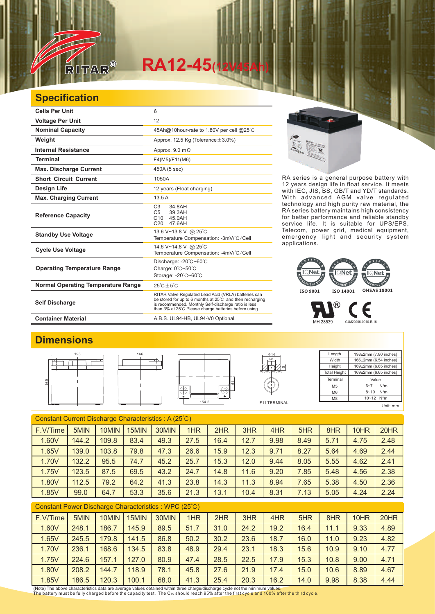

# $RA12-45$

## **Specification**

| <b>Cells Per Unit</b>                     | 6                                                                                                                                                                                                                                  |
|-------------------------------------------|------------------------------------------------------------------------------------------------------------------------------------------------------------------------------------------------------------------------------------|
| <b>Voltage Per Unit</b>                   | 12                                                                                                                                                                                                                                 |
| <b>Nominal Capacity</b>                   | 45Ah@10hour-rate to 1.80V per cell @25°C                                                                                                                                                                                           |
| Weight                                    | Approx. 12.5 Kg (Tolerance $\pm$ 3.0%)                                                                                                                                                                                             |
| <b>Internal Resistance</b>                | Approx. $9.0 \text{ m}\Omega$                                                                                                                                                                                                      |
| Terminal                                  | F4(M5)/F11(M6)                                                                                                                                                                                                                     |
| <b>Max. Discharge Current</b>             | 450A (5 sec)                                                                                                                                                                                                                       |
| <b>Short Circuit Current</b>              | 1050A                                                                                                                                                                                                                              |
| Design Life                               | 12 years (Float charging)                                                                                                                                                                                                          |
| <b>Max. Charging Current</b>              | 13.5A                                                                                                                                                                                                                              |
| <b>Reference Capacity</b>                 | C <sub>3</sub><br>34.8AH<br>C <sub>5</sub><br>39.3AH<br>C10 45.0AH<br>C20<br>47 6AH                                                                                                                                                |
| <b>Standby Use Voltage</b>                | 13.6 V~13.8 V @ 25°C<br>Temperature Compensation: -3mV/°C/Cell                                                                                                                                                                     |
| <b>Cycle Use Voltage</b>                  | 14.6 V~14.8 V @ 25°C<br>Temperature Compensation: -4mV/°C/Cell                                                                                                                                                                     |
| <b>Operating Temperature Range</b>        | Discharge: $-20^{\circ}$ C $-60^{\circ}$ C<br>Charge: 0°C~50°C<br>Storage: -20°C~60°C                                                                                                                                              |
| <b>Normal Operating Temperature Range</b> | $25^{\circ}$ C + 5 $^{\circ}$ C                                                                                                                                                                                                    |
| <b>Self Discharge</b>                     | RITAR Valve Regulated Lead Acid (VRLA) batteries can<br>be stored for up to 6 months at 25°C and then recharging<br>is recommended. Monthly Self-discharge ratio is less<br>than 3% at 25°C. Please charge batteries before using. |
| <b>Container Material</b>                 | A.B.S. UL94-HB, UL94-V0 Optional.                                                                                                                                                                                                  |



RA series is a general purpose battery with 12 years design life in float service. It meets with IEC, JIS, BS, GB/T and YD/T standards. With advanced AGM valve regulated technology and high purity raw material, the RA series battery maintains high consistency for better performance and reliable standby service life. It is suitable for UPS/EPS, Telecom, power grid, medical equipment, emergency light and security system applications.

#### ि**Net**  $\overline{\phantom{a}}$ Net EMENT SY GEMENT SYS GEMENT<sup>S</sup> **ISO 9001 ISO 14001 OHSAS 18001**

® F MH 28539 G4M20206-0910-E-16

### **Dimensions**







5

5

Length **Width** Height Total Height 198±2mm (7.80 inches) 166±2mm (6.54 inches) 169±2mm (6.65 inches) 169±2mm (6.65 inches) Terminal M5 M6  $\overline{M8}$ Value 6~7 N\*m 8~10 N\*m  $10~-12$  N<sup>\*</sup>m Unit: mm

Constant Current Discharge Characteristics : A (25℃) F.V/Time | 5MIN | 10MIN | 15MIN | 30MIN | 1HR | 2HR | 3HR | 4HR | 5HR | 8HR | 10HR | 20HR 1.60V | 144.2 | 109.8 | 83.4 | 49.3 | 27.5 | 16.4 | 12.7 | 9.98 | 8.49 | 5.71 | 4.75 | 2.48 1.65V 139.0 103.8 79.8 47.3 26.6 15.9 12.3 9.71 8.27 5.64 4.69 2.44 1.70V | 132.2 | 95.5 | 74.7 | 45.2 | 25.7 | 15.3 | 12.0 | 9.44 | 8.05 | 5.55 | 4.62 | 2.41 1.75V | 123.5 | 87.5 | 69.5 | 43.2 | 24.7 | 14.8 | 11.6 | 9.20 | 7.85 | 5.48 | 4.56 | 2.38 1.80V | 112.5 | 79.2 | 64.2 | 41.3 | 23.8 | 14.3 | 11.3 | 8.94 | 7.65 | 5.38 | 4.50 | 2.36 1.85V | 99.0 | 64.7 | 53.3 | 35.6 | 21.3 | 13.1 | 10.4 | 8.31 | 7.13 | 5.05 | 4.24 | 2.24

#### Constant Power Discharge Characteristics : WPC (25℃)

| F.V/Time                                                                                                                     | 5MIN  | 10MIN | 15MIN | 30MIN | 1HR  | 2HR  | 3HR  | 4HR  | 5HR  | 8HR  | 10HR | 20HR |
|------------------------------------------------------------------------------------------------------------------------------|-------|-------|-------|-------|------|------|------|------|------|------|------|------|
| 1.60V                                                                                                                        | 248.1 | 186.7 | 145.9 | 89.5  | 51.7 | 31.0 | 24.2 | 19.2 | 16.4 | 11.1 | 9.33 | 4.89 |
| 1.65V                                                                                                                        | 245.5 | 179.8 | 141.5 | 86.8  | 50.2 | 30.2 | 23.6 | 18.7 | 16.0 | 11.0 | 9.23 | 4.82 |
| 1.70V                                                                                                                        | 236.1 | 168.6 | 134.5 | 83.8  | 48.9 | 29.4 | 23.1 | 18.3 | 15.6 | 10.9 | 9.10 | 4.77 |
| 1.75V                                                                                                                        | 224.6 | 157.1 | 127.0 | 80.9  | 47.4 | 28.5 | 22.5 | 17.9 | 15.3 | 10.8 | 9.00 | 4.71 |
| 1.80V                                                                                                                        | 208.2 | 144.7 | 118.9 | 78.1  | 45.8 | 27.6 | 21.9 | 17.4 | 15.0 | 10.6 | 8.89 | 4.67 |
| 1.85V                                                                                                                        | 186.5 | 120.3 | 100.1 | 68.0  | 41.3 | 25.4 | 20.3 | 16.2 | 14.0 | 9.98 | 8.38 | 4.44 |
| (Note) The above characteristics data are average values obtained within three charge/discharge cycle not the minimum values |       |       |       |       |      |      |      |      |      |      |      |      |

The battery must be fully charged before the capacity test. The C10 should reach 95% after the first cycle and 100% after the third cycle.